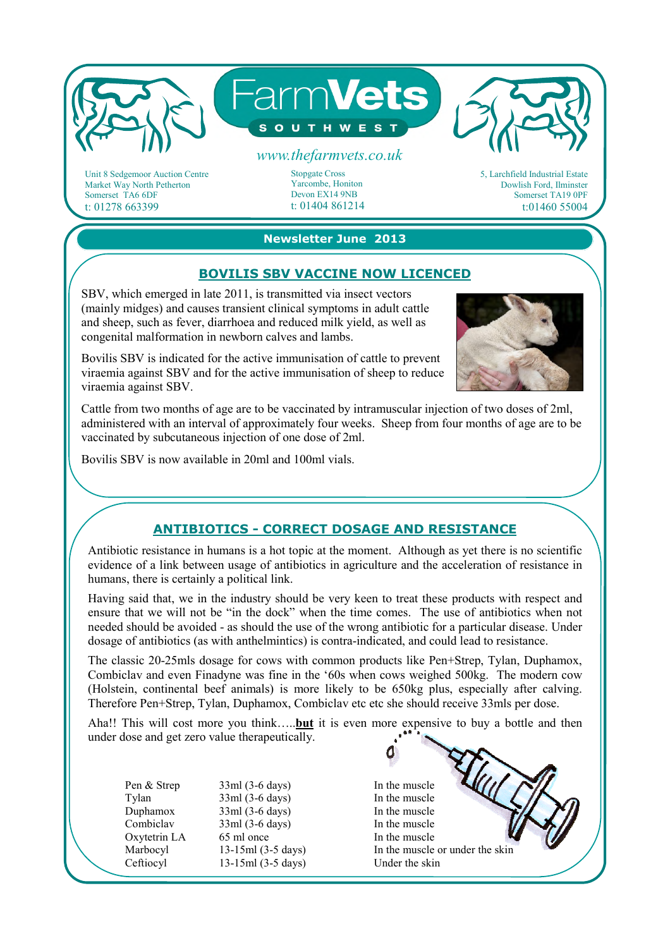

Unit 8 Sedgemoor Auction Centre Market Way North Petherton Somerset TA6 6DF t: 01278 663399

Stopgate Cross Yarcombe, Honiton Devon EX14 9NB t: 01404 861214 5, Larchfield Industrial Estate Dowlish Ford, Ilminster Somerset TA19 0PF t:01460 55004

**Newsletter June 2013** 

# **BOVILIS SBV VACCINE NOW LICENCED**

SBV, which emerged in late 2011, is transmitted via insect vectors (mainly midges) and causes transient clinical symptoms in adult cattle and sheep, such as fever, diarrhoea and reduced milk yield, as well as congenital malformation in newborn calves and lambs.

Bovilis SBV is indicated for the active immunisation of cattle to prevent viraemia against SBV and for the active immunisation of sheep to reduce viraemia against SBV.



Cattle from two months of age are to be vaccinated by intramuscular injection of two doses of 2ml, administered with an interval of approximately four weeks. Sheep from four months of age are to be vaccinated by subcutaneous injection of one dose of 2ml.

Bovilis SBV is now available in 20ml and 100ml vials.

## **ANTIBIOTICS - CORRECT DOSAGE AND RESISTANCE**

Antibiotic resistance in humans is a hot topic at the moment. Although as yet there is no scientific evidence of a link between usage of antibiotics in agriculture and the acceleration of resistance in humans, there is certainly a political link.

Having said that, we in the industry should be very keen to treat these products with respect and ensure that we will not be "in the dock" when the time comes. The use of antibiotics when not needed should be avoided - as should the use of the wrong antibiotic for a particular disease. Under dosage of antibiotics (as with anthelmintics) is contra-indicated, and could lead to resistance.

The classic 20-25mls dosage for cows with common products like Pen+Strep, Tylan, Duphamox, Combiclav and even Finadyne was fine in the '60s when cows weighed 500kg. The modern cow (Holstein, continental beef animals) is more likely to be 650kg plus, especially after calving. Therefore Pen+Strep, Tylan, Duphamox, Combiclav etc etc she should receive 33mls per dose.

Aha!! This will cost more you think…..**but** it is even more expensive to buy a bottle and then under dose and get zero value therapeutically.

Pen & Strep Tylan Duphamox Combiclav Oxytetrin LA Marbocyl Ceftiocyl

33ml (3-6 days) 33ml (3-6 days) 33ml (3-6 days) 33ml (3-6 days) 65 ml once 13-15ml (3-5 days) 13-15ml (3-5 days) In the muscle In the muscle In the muscle In the muscle In the muscle In the muscle or under the skin Under the skin